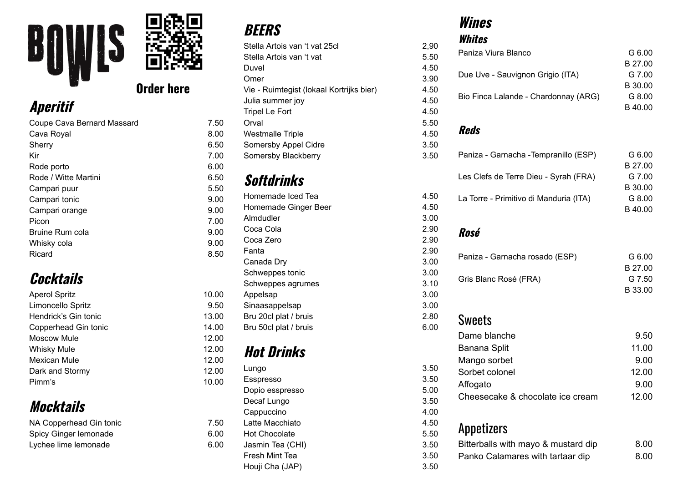

1 2.0 0

1 2.0 0

**d**rder here

# **Aperitif**

| Coupe Cava Bernard Massard | 7.50 |
|----------------------------|------|
| Cava Royal                 | 8.00 |
| Sherry                     | 6.50 |
| Kir                        | 7.00 |
| Rode porto                 | 6.00 |
| Rode / Witte Martini       | 6.50 |
| Campari puur               | 5.50 |
| Campari tonic              | 9.00 |
| Campari orange             | 9.00 |
| Picon                      | 7.00 |
| Bruine Rum cola            | 9.00 |
| Whisky cola                | 9.00 |
| Ricard                     | 8.50 |
|                            |      |

### **Cocktails**

| <b>Aperol Spritz</b> |
|----------------------|
| Limoncello Spritz    |
| Hendrick's Gin tonic |
| Copperhead Gin tonic |
| Moscow Mule          |
| <b>Whisky Mule</b>   |
| Mexican Mule         |
| Dark and Stormy      |
| Pimm's               |
|                      |

### **Mocktails**

| NA Copperhead Gin tonic |  |
|-------------------------|--|
| Spicy Ginger lemonade   |  |
| Lychee lime lemonade    |  |

### **BEERS**

| Stella Artois van 't vat 25cl            | 2,90 |
|------------------------------------------|------|
| Stella Artois van 't vat                 | 5.50 |
| Duvel                                    | 4.50 |
| Omer                                     | 3.90 |
| Vie - Ruimtegist (lokaal Kortrijks bier) | 4.50 |
| Julia summer joy                         | 4.50 |
| <b>Tripel Le Fort</b>                    | 4.50 |
| Orval                                    | 5.50 |
| <b>Westmalle Triple</b>                  | 4.50 |
| Somersby Appel Cidre                     | 3.50 |
| Somersby Blackberry                      | 3.50 |
|                                          |      |

## **Softdrinks**

| 5.50  |                       |
|-------|-----------------------|
| 9.00  | Homemade Iced Tea     |
| 9.00  | Homemade Ginger Beer  |
| 7.00  | Almdudler             |
| 9.00  | Coca Cola             |
| 9.00  | Coca Zero             |
| 8.50  | Fanta                 |
|       | Canada Dry            |
|       | Schweppes tonic       |
|       | Schweppes agrumes     |
| 10.00 | Appelsap              |
| 9.50  | Sinaasappelsap        |
| 13.00 | Bru 20cl plat / bruis |
| 14.00 | Bru 50cl plat / bruis |

## **Hot Drinks**

| 12.00 |                  |  |
|-------|------------------|--|
| 12.00 | Lungo            |  |
| 10.00 | Esspresso        |  |
|       | Dopio esspresso  |  |
|       | Decaf Lungo      |  |
|       | Cappuccino       |  |
| 7.50  | Latte Macchiato  |  |
| 6.00  | Hot Chocolate    |  |
| 6.00  | Jasmin Tea (CHI) |  |
|       | Fresh Mint Tea   |  |
|       | Houji Cha (JAP)  |  |
|       |                  |  |

### **Wines**

4.5 0

4.5 0

3.0 0

2.9 0

2.9 0

2.9 0

3.0 0

3.0 0

3.1 0

3.0 0

3.0 0

2.8 0

6.0 0

3.5 0

3.5 0

5.0 0

3.5 0

4.0 0

4.5 0

| WIIIES                                 |                   |
|----------------------------------------|-------------------|
| Whites                                 |                   |
| Paniza Viura Blanco                    | G 6.00            |
| Due Uve - Sauvignon Grigio (ITA)       | B 27.00<br>G 7.00 |
|                                        | B 30.00           |
| Bio Finca Lalande - Chardonnay (ARG)   | G 8.00            |
|                                        | B40.00            |
| <b>Reds</b>                            |                   |
| Paniza - Garnacha - Tempranillo (ESP)  | G 6.00            |
|                                        | B 27.00<br>G 7.00 |
| Les Clefs de Terre Dieu - Syrah (FRA)  | B 30.00           |
| La Torre - Primitivo di Manduria (ITA) | G 8.00            |
|                                        | B 40.00           |
| Rosé                                   |                   |
| Paniza - Garnacha rosado (ESP)         | G 6.00            |
|                                        | B 27.00           |
| Gris Blanc Rosé (FRA)                  | G 7.50<br>B 33.00 |
| <b>Sweets</b>                          |                   |
| Dame blanche                           | 9.50              |
| <b>Banana Split</b>                    | 11.00             |
| Mango sorbet                           | 9.00              |
| Sorbet colonel                         | 12.00             |
| Affogato                               | 9.00              |
| Cheesecake & chocolate ice cream       | 12.00             |

#### Appetizers

| 5.50 | <b>APPOLIZUIS</b>                   |      |
|------|-------------------------------------|------|
| 3.50 | Bitterballs with mayo & mustard dip | 8.00 |
| 3.50 | Panko Calamares with tartaar dip    | 8.00 |
| 3.50 |                                     |      |